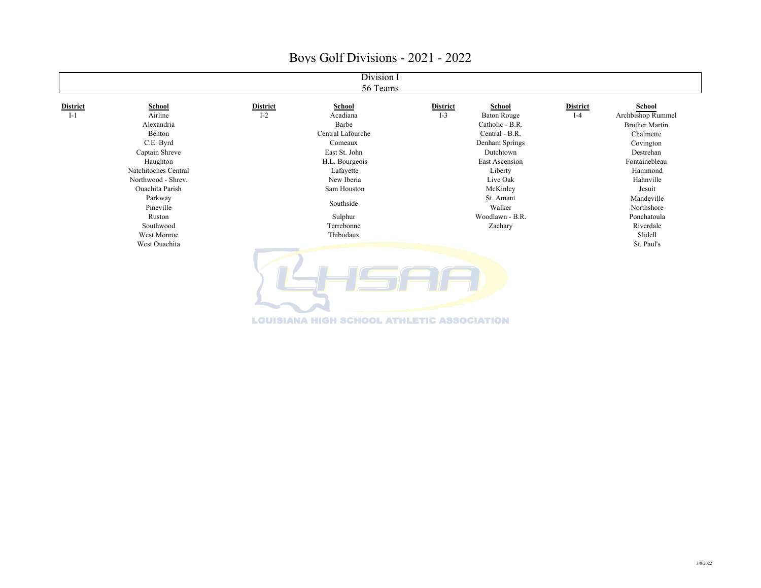| Division I<br>56 Teams |                        |                 |                   |                 |                    |                 |                       |
|------------------------|------------------------|-----------------|-------------------|-----------------|--------------------|-----------------|-----------------------|
| <b>District</b>        | School                 | <b>District</b> | School            | <b>District</b> | <b>School</b>      | <b>District</b> | School                |
| $I-1$                  | Airline                | $I-2$           | Acadiana          | $I-3$           | <b>Baton Rouge</b> | $I-4$           | Archbishop Rummel     |
|                        | Alexandria             |                 | Barbe             |                 | Catholic - B.R.    |                 | <b>Brother Martin</b> |
|                        | Benton                 |                 | Central Lafourche |                 | Central - B.R.     |                 | Chalmette             |
|                        | C.E. Byrd              |                 | Comeaux           |                 | Denham Springs     |                 | Covington             |
|                        | Captain Shreve         |                 | East St. John     |                 | Dutchtown          |                 | Destrehan             |
|                        | Haughton               |                 | H.L. Bourgeois    |                 | East Ascension     |                 | Fontainebleau         |
|                        | Natchitoches Central   |                 | Lafayette         |                 | Liberty            |                 | Hammond               |
|                        | Northwood - Shrev.     |                 | New Iberia        |                 | Live Oak           |                 | Hahnville             |
|                        | <b>Ouachita Parish</b> |                 | Sam Houston       |                 | McKinley           |                 | Jesuit                |
|                        | Parkway                |                 | Southside         |                 | St. Amant          |                 | Mandeville            |
|                        | Pineville              |                 |                   |                 | Walker             |                 | Northshore            |
|                        | Ruston                 |                 | Sulphur           |                 | Woodlawn - B.R.    |                 | Ponchatoula           |
|                        | Southwood              |                 | Terrebonne        |                 | Zachary            |                 | Riverdale             |
|                        | West Monroe            |                 | Thibodaux         |                 |                    |                 | Slidell               |
|                        | West Ouachita          |                 |                   |                 |                    |                 | St. Paul's            |
|                        |                        |                 |                   |                 |                    |                 |                       |

**LOUISIANA HIGH SCHOOL ATHLETIC ASSOCIATION**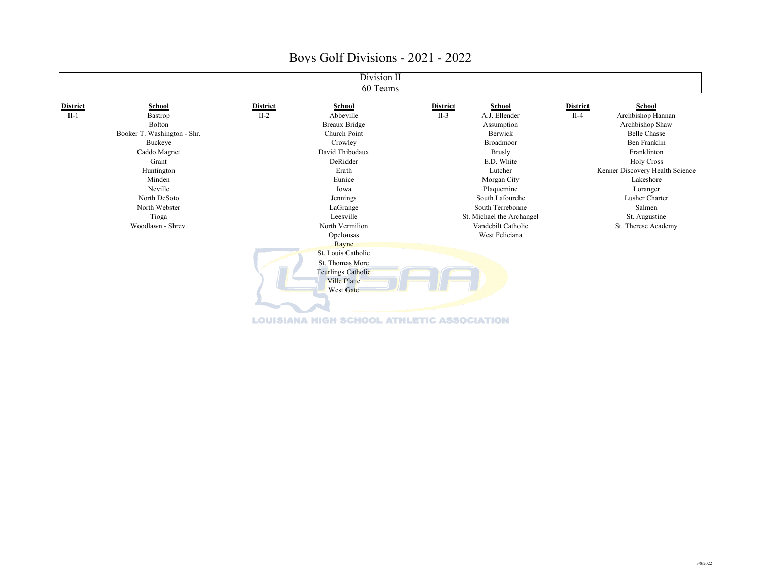| Division II     |                             |                 |                     |                 |                           |                 |                                 |  |
|-----------------|-----------------------------|-----------------|---------------------|-----------------|---------------------------|-----------------|---------------------------------|--|
| 60 Teams        |                             |                 |                     |                 |                           |                 |                                 |  |
| <b>District</b> | School                      | <b>District</b> | School              | <b>District</b> | School                    | <b>District</b> | School                          |  |
| $II-1$          | Bastrop                     | $II-2$          | Abbeville           | $II-3$          | A.J. Ellender             | $II-4$          | Archbishop Hannan               |  |
|                 | Bolton                      |                 | Breaux Bridge       |                 | Assumption                |                 | Archbishop Shaw                 |  |
|                 | Booker T. Washington - Shr. |                 | Church Point        |                 | Berwick                   |                 | <b>Belle Chasse</b>             |  |
|                 | Buckeye                     |                 | Crowley             |                 | Broadmoor                 |                 | Ben Franklin                    |  |
|                 | Caddo Magnet                |                 | David Thibodaux     |                 | Brusly                    |                 | Franklinton                     |  |
|                 | Grant                       |                 | DeRidder            |                 | E.D. White                |                 | <b>Holy Cross</b>               |  |
|                 | Huntington                  |                 | Erath               |                 | Lutcher                   |                 | Kenner Discovery Health Science |  |
|                 | Minden                      |                 | Eunice              |                 | Morgan City               |                 | Lakeshore                       |  |
|                 | Neville                     |                 | Iowa                |                 | Plaquemine                |                 | Loranger                        |  |
|                 | North DeSoto                |                 | Jennings            |                 | South Lafourche           |                 | Lusher Charter                  |  |
|                 | North Webster               |                 | LaGrange            |                 | South Terrebonne          |                 | Salmen                          |  |
|                 | Tioga                       |                 | Leesville           |                 | St. Michael the Archangel |                 | St. Augustine                   |  |
|                 | Woodlawn - Shrev.           |                 | North Vermilion     |                 | Vandebilt Catholic        |                 | St. Therese Academy             |  |
|                 |                             |                 | Opelousas           |                 | West Feliciana            |                 |                                 |  |
|                 |                             |                 | Rayne               |                 |                           |                 |                                 |  |
|                 |                             |                 | St. Louis Catholic  |                 |                           |                 |                                 |  |
|                 |                             |                 | St. Thomas More     |                 |                           |                 |                                 |  |
|                 |                             |                 | Teurlings Catholic  |                 |                           |                 |                                 |  |
|                 |                             |                 | <b>Ville Platte</b> |                 |                           |                 |                                 |  |
|                 |                             |                 | West Gate           |                 |                           |                 |                                 |  |
|                 |                             |                 |                     |                 |                           |                 |                                 |  |
|                 |                             |                 |                     |                 |                           |                 |                                 |  |
|                 |                             |                 |                     |                 |                           |                 |                                 |  |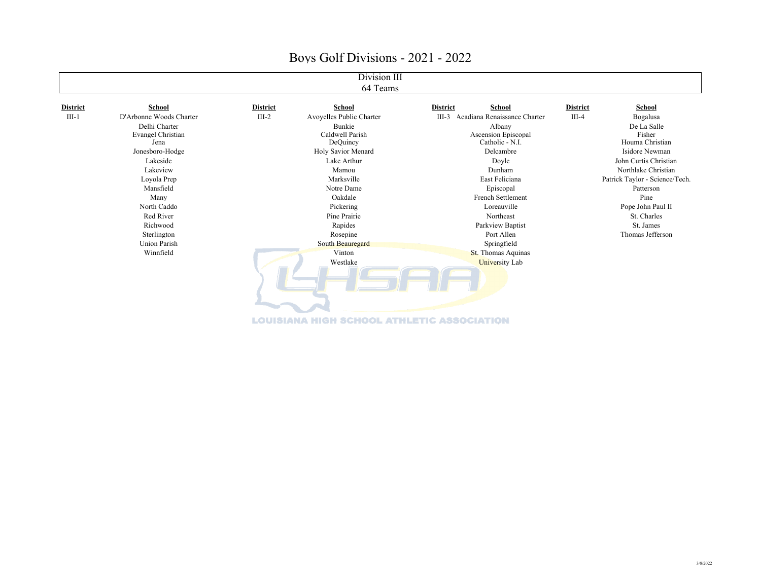| Division III<br>64 Teams |                                                                                                                                                                                                                                          |                 |                                                                                                                                                                                                                                          |                 |                                                                                                                                                                                                                                                                                |                 |                                                                                                                                                                                                                                                    |  |
|--------------------------|------------------------------------------------------------------------------------------------------------------------------------------------------------------------------------------------------------------------------------------|-----------------|------------------------------------------------------------------------------------------------------------------------------------------------------------------------------------------------------------------------------------------|-----------------|--------------------------------------------------------------------------------------------------------------------------------------------------------------------------------------------------------------------------------------------------------------------------------|-----------------|----------------------------------------------------------------------------------------------------------------------------------------------------------------------------------------------------------------------------------------------------|--|
| <b>District</b>          | School                                                                                                                                                                                                                                   | <b>District</b> | School                                                                                                                                                                                                                                   | <b>District</b> | School                                                                                                                                                                                                                                                                         | <b>District</b> | School                                                                                                                                                                                                                                             |  |
| $III-1$                  | D'Arbonne Woods Charter<br>Delhi Charter<br>Evangel Christian<br>Jena<br>Jonesboro-Hodge<br>Lakeside<br>Lakeview<br>Loyola Prep<br>Mansfield<br>Many<br>North Caddo<br>Red River<br>Richwood<br>Sterlington<br>Union Parish<br>Winnfield | $III-2$         | Avoyelles Public Charter<br>Bunkie<br>Caldwell Parish<br>DeQuincy<br>Holy Savior Menard<br>Lake Arthur<br>Mamou<br>Marksville<br>Notre Dame<br>Oakdale<br>Pickering<br>Pine Prairie<br>Rapides<br>Rosepine<br>South Beauregard<br>Vinton | $III-3$         | Acadiana Renaissance Charter<br>Albany<br>Ascension Episcopal<br>Catholic - N.I.<br>Delcambre<br>Doyle<br>Dunham<br>East Feliciana<br>Episcopal<br>French Settlement<br>Loreauville<br>Northeast<br>Parkview Baptist<br>Port Allen<br>Springfield<br><b>St.</b> Thomas Aquinas | $III-4$         | Bogalusa<br>De La Salle<br>Fisher<br>Houma Christian<br>Isidore Newman<br>John Curtis Christian<br>Northlake Christian<br>Patrick Taylor - Science/Tech.<br>Patterson<br>Pine<br>Pope John Paul II<br>St. Charles<br>St. James<br>Thomas Jefferson |  |
|                          |                                                                                                                                                                                                                                          |                 | Westlake                                                                                                                                                                                                                                 |                 | <b>University Lab</b>                                                                                                                                                                                                                                                          |                 |                                                                                                                                                                                                                                                    |  |